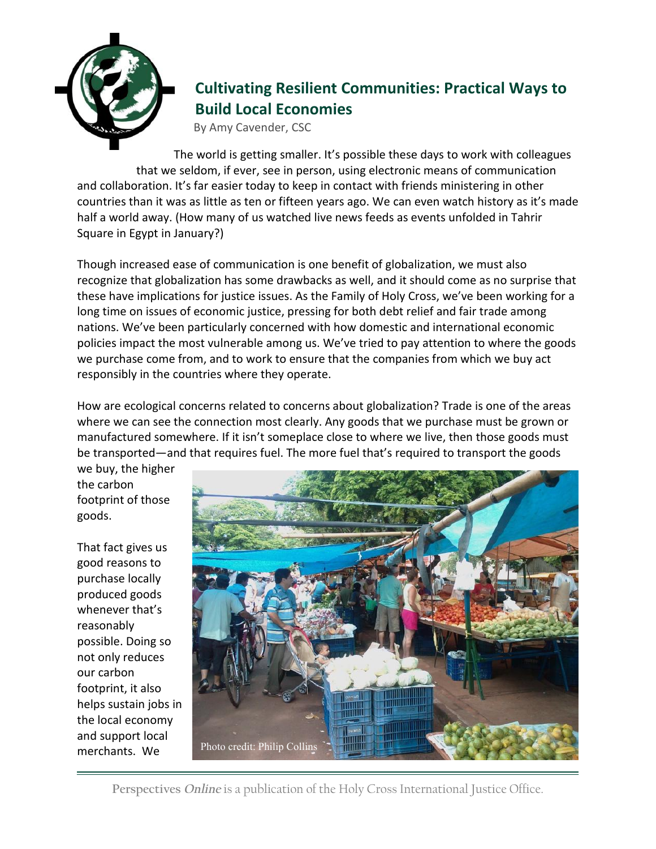

## **Cultivating Resilient Communities: Practical Ways to Build Local Economies**

By Amy Cavender, CSC

The world is getting smaller. It's possible these days to work with colleagues that we seldom, if ever, see in person, using electronic means of communication and collaboration. It's far easier today to keep in contact with friends ministering in other countries than it was as little as ten or fifteen years ago. We can even watch history as it's made half a world away. (How many of us watched live news feeds as events unfolded in Tahrir Square in Egypt in January?)

Though increased ease of communication is one benefit of globalization, we must also recognize that globalization has some drawbacks as well, and it should come as no surprise that these have implications for justice issues. As the Family of Holy Cross, we've been working for a long time on issues of economic justice, pressing for both debt relief and fair trade among nations. We've been particularly concerned with how domestic and international economic policies impact the most vulnerable among us. We've tried to pay attention to where the goods we purchase come from, and to work to ensure that the companies from which we buy act responsibly in the countries where they operate.

How are ecological concerns related to concerns about globalization? Trade is one of the areas where we can see the connection most clearly. Any goods that we purchase must be grown or manufactured somewhere. If it isn't someplace close to where we live, then those goods must be transported—and that requires fuel. The more fuel that's required to transport the goods

we buy, the higher the carbon footprint of those goods.

That fact gives us good reasons to purchase locally produced goods whenever that's reasonably possible. Doing so not only reduces our carbon footprint, it also helps sustain jobs in the local economy and support local merchants. We



**Perspectives** *Online* is a publication of the Holy Cross International Justice Office.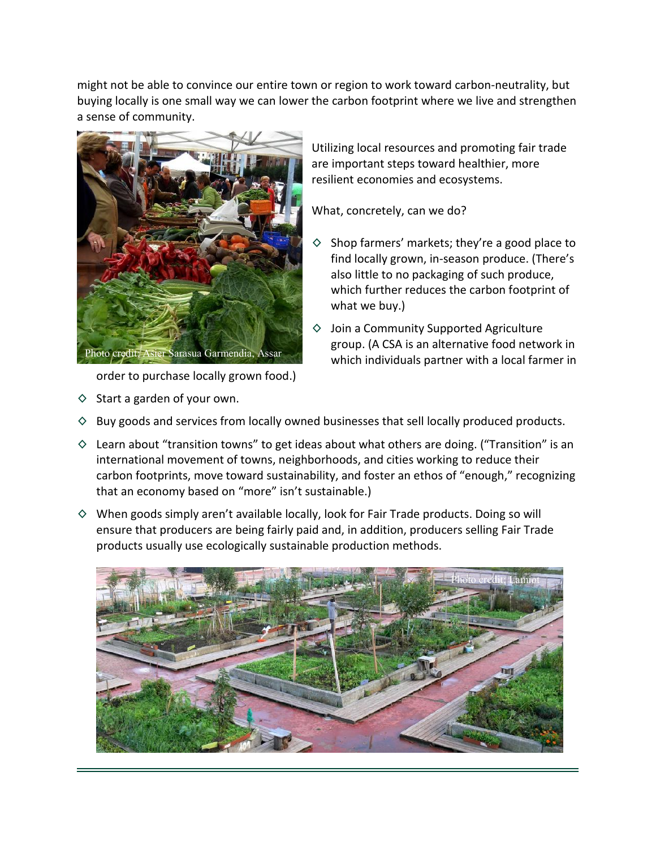might not be able to convince our entire town or region to work toward carbon-neutrality, but buying locally is one small way we can lower the carbon footprint where we live and strengthen a sense of community.



order to purchase locally grown food.)

 $\diamond$  Start a garden of your own.

Utilizing local resources and promoting fair trade are important steps toward healthier, more resilient economies and ecosystems.

What, concretely, can we do?

- $\diamond$  Shop farmers' markets; they're a good place to find locally grown, in-season produce. (There's also little to no packaging of such produce, which further reduces the carbon footprint of what we buy.)
- ◊ Join a Community Supported Agriculture group. (A CSA is an alternative food network in which individuals partner with a local farmer in
- $\diamond$  Buy goods and services from locally owned businesses that sell locally produced products.
- $\diamond$  Learn about "transition towns" to get ideas about what others are doing. ("Transition" is an international movement of towns, neighborhoods, and cities working to reduce their carbon footprints, move toward sustainability, and foster an ethos of "enough," recognizing that an economy based on "more" isn't sustainable.)
- $\diamond$  When goods simply aren't available locally, look for Fair Trade products. Doing so will ensure that producers are being fairly paid and, in addition, producers selling Fair Trade products usually use ecologically sustainable production methods.